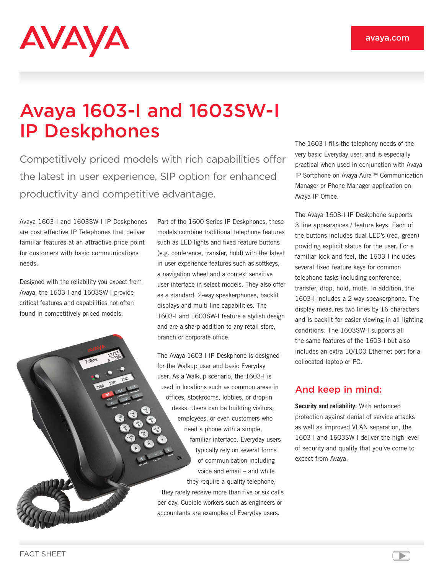# AVAYA

# Avaya 1603-I and 1603SW-I IP Deskphones

Competitively priced models with rich capabilities offer the latest in user experience, SIP option for enhanced productivity and competitive advantage.

Avaya 1603-I and 1603SW-I IP Deskphones are cost effective IP Telephones that deliver familiar features at an attractive price point for customers with basic communications needs.

Designed with the reliability you expect from Avaya, the 1603-I and 1603SW-I provide critical features and capabilities not often found in competitively priced models.

Part of the 1600 Series IP Deskphones, these models combine traditional telephone features such as LED lights and fixed feature buttons (e.g. conference, transfer, hold) with the latest in user experience features such as softkeys, a navigation wheel and a context sensitive user interface in select models. They also offer as a standard: 2-way speakerphones, backlit displays and multi-line capabilities. The 1603-I and 1603SW-I feature a stylish design and are a sharp addition to any retail store, branch or corporate office.

The Avaya 1603-I IP Deskphone is designed for the Walkup user and basic Everyday user. As a Walkup scenario, the 1603-I is used in locations such as common areas in offices, stockrooms, lobbies, or drop-in desks. Users can be building visitors, employees, or even customers who need a phone with a simple, familiar interface. Everyday users typically rely on several forms of communication including voice and email – and while they require a quality telephone, they rarely receive more than five or six calls per day. Cubicle workers such as engineers or accountants are examples of Everyday users.

The 1603-I fills the telephony needs of the very basic Everyday user, and is especially practical when used in conjunction with Avaya IP Softphone on Avaya Aura™ Communication Manager or Phone Manager application on Avaya IP Office.

The Avaya 1603-I IP Deskphone supports 3 line appearances / feature keys. Each of the buttons includes dual LED's (red, green) providing explicit status for the user. For a familiar look and feel, the 1603-I includes several fixed feature keys for common telephone tasks including conference, transfer, drop, hold, mute. In addition, the 1603-I includes a 2-way speakerphone. The display measures two lines by 16 characters and is backlit for easier viewing in all lighting conditions. The 1603SW-I supports all the same features of the 1603-I but also includes an extra 10/100 Ethernet port for a collocated laptop or PC.

# And keep in mind:

**Security and reliability:** With enhanced protection against denial of service attacks as well as improved VLAN separation, the 1603-I and 1603SW-I deliver the high level of security and quality that you've come to expect from Avaya.